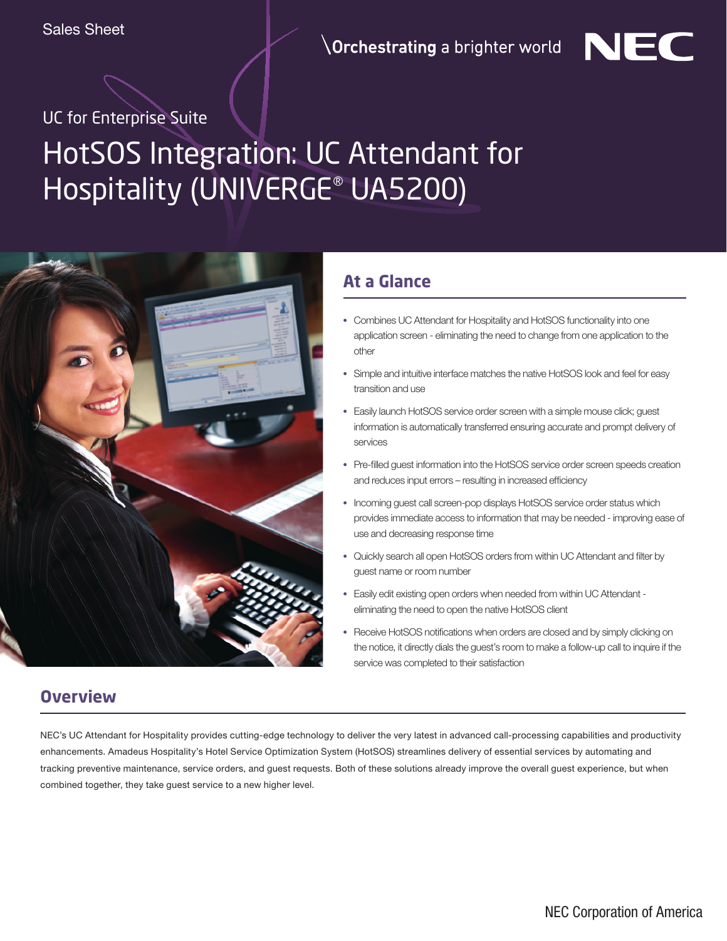$\backslash$ Orchestrating a brighter world



# HotSOS Integration: UC Attendant for Hospitality (UNIVERGE® UA5200)



### **At a Glance**

- **•** Combines UC Attendant for Hospitality and HotSOS functionality into one application screen - eliminating the need to change from one application to the other
- **•** Simple and intuitive interface matches the native HotSOS look and feel for easy transition and use
- **•** Easily launch HotSOS service order screen with a simple mouse click; guest information is automatically transferred ensuring accurate and prompt delivery of services
- **•** Pre-filled guest information into the HotSOS service order screen speeds creation and reduces input errors – resulting in increased efficiency
- **•** Incoming guest call screen-pop displays HotSOS service order status which provides immediate access to information that may be needed - improving ease of use and decreasing response time
- **•** Quickly search all open HotSOS orders from within UC Attendant and filter by guest name or room number
- **•** Easily edit existing open orders when needed from within UC Attendant eliminating the need to open the native HotSOS client
- **•** Receive HotSOS notifications when orders are closed and by simply clicking on the notice, it directly dials the guest's room to make a follow-up call to inquire if the service was completed to their satisfaction

### **Overview**

NEC's UC Attendant for Hospitality provides cutting-edge technology to deliver the very latest in advanced call-processing capabilities and productivity enhancements. Amadeus Hospitality's Hotel Service Optimization System (HotSOS) streamlines delivery of essential services by automating and tracking preventive maintenance, service orders, and guest requests. Both of these solutions already improve the overall guest experience, but when combined together, they take guest service to a new higher level.

NEC